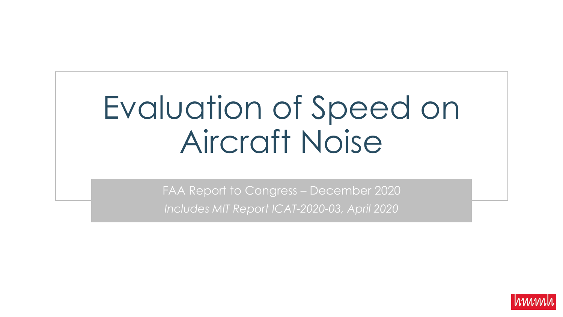# Evaluation of Speed on Aircraft Noise

FAA Report to Congress – December 2020 *Includes MIT Report ICAT-2020-03, April 2020*

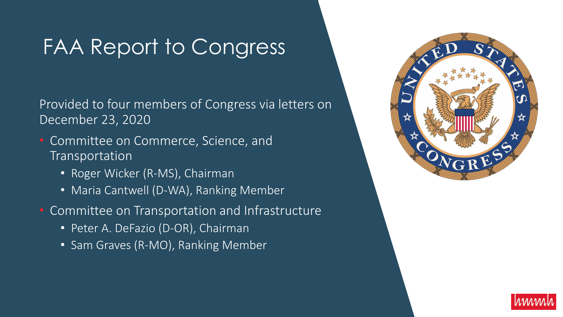### FAA Report to Congress

Provided to four members of Congress via letters on December 23, 2020

- Committee on Commerce, Science, and Transportation
	- Roger Wicker (R-MS), Chairman
	- Maria Cantwell (D-WA), Ranking Member
- Committee on Transportation and Infrastructure
	- Peter A. DeFazio (D-OR), Chairman
	- Sam Graves (R-MO), Ranking Member



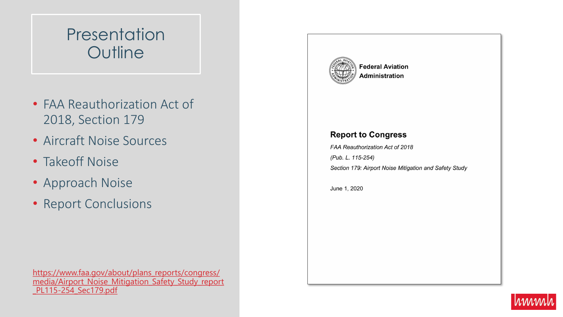### **Presentation Outline**

- FAA Reauthorization Act of 2018, Section 179
- Aircraft Noise Sources
- Takeoff Noise
- Approach Noise
- Report Conclusions

https://www.faa.gov/about/plans\_reports/congress/ [media/Airport\\_Noise\\_Mitigation\\_Safety\\_Study\\_report](https://www.faa.gov/about/plans_reports/congress/media/Airport_Noise_Mitigation_Safety_Study_report_PL115-254_Sec179.pdf) \_PL115-254\_Sec179.pdf



**Federal Aviation Administration** 

#### **Report to Congress**

FAA Reauthorization Act of 2018 (Pub. L. 115-254) Section 179: Airport Noise Mitigation and Safety Study

June 1, 2020

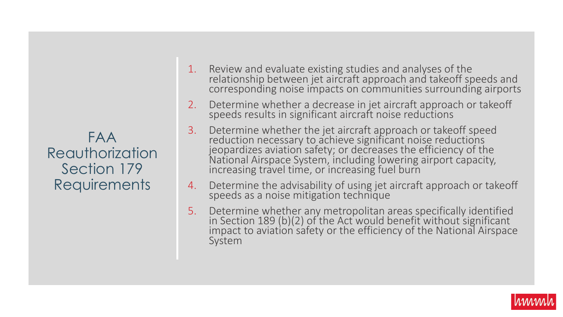FAA Reauthorization Section 179 **Requirements** 

- 1. Review and evaluate existing studies and analyses of the relationship between jet aircraft approach and takeoff speeds and corresponding noise impacts on communities surrounding airports
- 2. Determine whether a decrease in jet aircraft approach or takeoff speeds results in significant aircraft noise reductions
- 3. Determine whether the jet aircraft approach or takeoff speed reduction necessary to achieve significant noise reductions jeopardizes aviation safety; or decreases the efficiency of the National Airspace System, including lowering airport capacity, increasing travel time, or increasing fuel burn
- 4. Determine the advisability of using jet aircraft approach or takeoff speeds as a noise mitigation technique
- 5. Determine whether any metropolitan areas specifically identified in Section 189 (b)(2) of the Act would benefit without significant impact to aviation safety or the efficiency of the National Airspace System

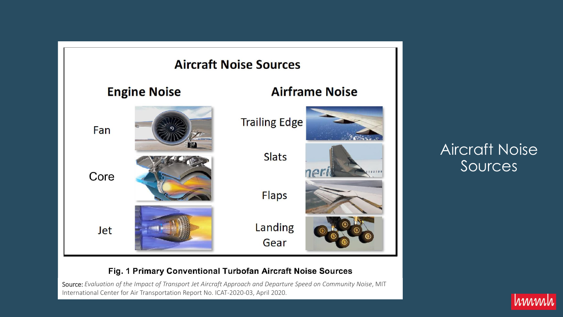

Aircraft Noise Sources

#### Fig. 1 Primary Conventional Turbofan Aircraft Noise Sources

Source: *Evaluation of the Impact of Transport Jet Aircraft Approach and Departure Speed on Community Noise*, MIT International Center for Air Transportation Report No. ICAT-2020-03, April 2020.

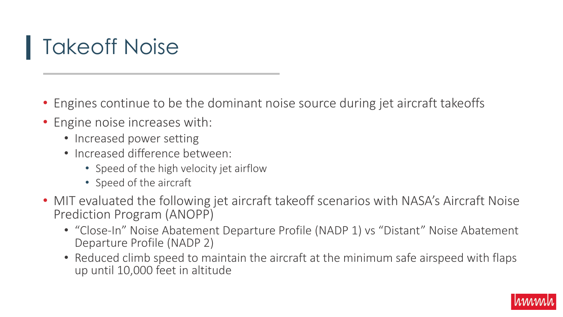## Takeoff Noise

- Engines continue to be the dominant noise source during jet aircraft takeoffs
- Engine noise increases with:
	- Increased power setting
	- Increased difference between:
		- Speed of the high velocity jet airflow
		- Speed of the aircraft
- MIT evaluated the following jet aircraft takeoff scenarios with NASA's Aircraft Noise Prediction Program (ANOPP)
	- "Close-In" Noise Abatement Departure Profile (NADP 1) vs "Distant" Noise Abatement Departure Profile (NADP 2)
	- Reduced climb speed to maintain the aircraft at the minimum safe airspeed with flaps up until 10,000 feet in altitude

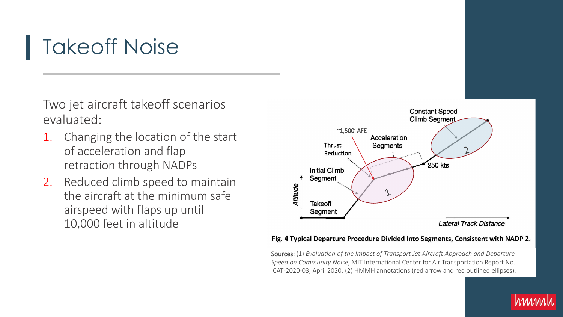### Takeoff Noise

Two jet aircraft takeoff scenarios evaluated:

- 1. Changing the location of the start of acceleration and flap retraction through NADPs
- 2. Reduced climb speed to maintain the aircraft at the minimum safe airspeed with flaps up until 10,000 feet in altitude



#### Fig. 4 Typical Departure Procedure Divided into Segments, Consistent with NADP 2.

Sources: (1) *Evaluation of the Impact of Transport Jet Aircraft Approach and Departure Speed on Community Noise*, MIT International Center for Air Transportation Report No. ICAT-2020-03, April 2020. (2) HMMH annotations (red arrow and red outlined ellipses).

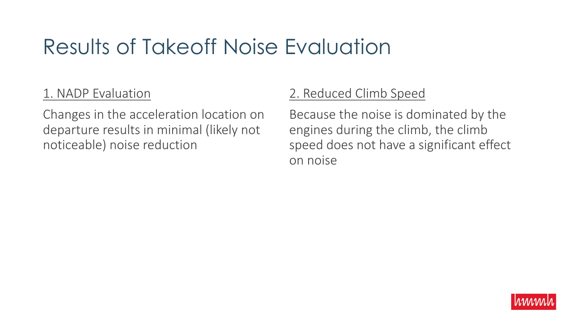### Results of Takeoff Noise Evaluation

### 1. NADP Evaluation

Changes in the acceleration location on departure results in minimal (likely not noticeable) noise reduction

### 2. Reduced Climb Speed

Because the noise is dominated by the engines during the climb, the climb speed does not have a significant effect on noise

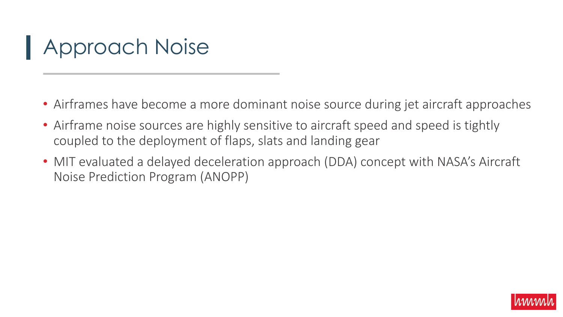## Approach Noise

- Airframes have become a more dominant noise source during jet aircraft approaches
- Airframe noise sources are highly sensitive to aircraft speed and speed is tightly coupled to the deployment of flaps, slats and landing gear
- MIT evaluated a delayed deceleration approach (DDA) concept with NASA's Aircraft Noise Prediction Program (ANOPP)

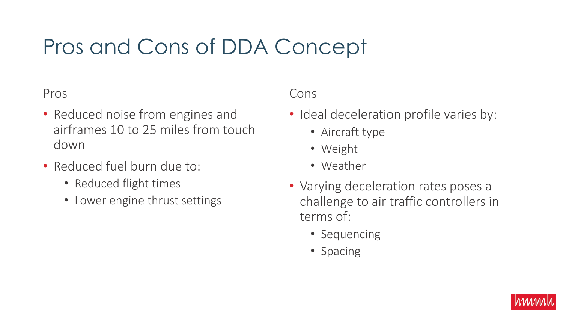## Pros and Cons of DDA Concept

#### Pros

- Reduced noise from engines and airframes 10 to 25 miles from touch down
- Reduced fuel burn due to:
	- Reduced flight times
	- Lower engine thrust settings

### Cons

- Ideal deceleration profile varies by:
	- Aircraft type
	- Weight
	- Weather
- Varying deceleration rates poses a challenge to air traffic controllers in terms of:
	- Sequencing
	- Spacing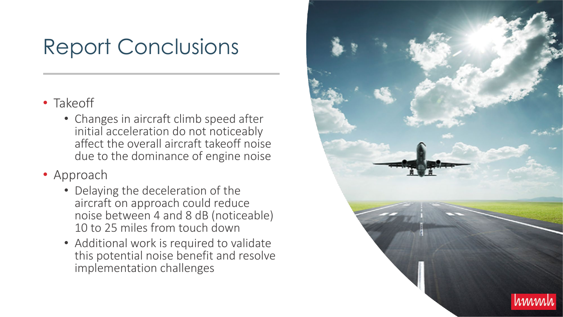### Report Conclusions

- Takeoff
	- Changes in aircraft climb speed after initial acceleration do not noticeably affect the overall aircraft takeoff noise due to the dominance of engine noise
- Approach
	- Delaying the deceleration of the aircraft on approach could reduce noise between 4 and 8 dB (noticeable) 10 to 25 miles from touch down
	- Additional work is required to validate this potential noise benefit and resolve implementation challenges